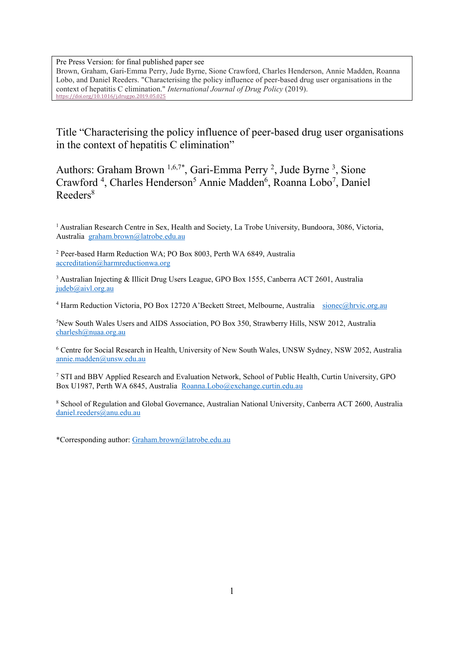Pre Press Version: for final published paper see

Brown, Graham, Gari-Emma Perry, Jude Byrne, Sione Crawford, Charles Henderson, Annie Madden, Roanna Lobo, and Daniel Reeders. "Characterising the policy influence of peer-based drug user organisations in the context of hepatitis C elimination." *International Journal of Drug Policy* (2019). <https://doi.org/10.1016/j.drugpo.2019.05.025>

Title "Characterising the policy influence of peer-based drug user organisations in the context of hepatitis C elimination"

Authors: Graham Brown<sup>1,6,7\*</sup>, Gari-Emma Perry<sup>2</sup>, Jude Byrne<sup>3</sup>, Sione Crawford<sup>4</sup>, Charles Henderson<sup>5</sup> Annie Madden<sup>6</sup>, Roanna Lobo<sup>7</sup>, Daniel Reeders8

1 Australian Research Centre in Sex, Health and Society, La Trobe University, Bundoora, 3086, Victoria, Australia [graham.brown@latrobe.edu.au](mailto:graham.brown@latrobe.edu.au)

<sup>2</sup> Peer-based Harm Reduction WA; PO Box 8003, Perth WA 6849, Australia [accreditation@harmreductionwa.org](mailto:accreditation@harmreductionwa.org)

3 Australian Injecting & Illicit Drug Users League, GPO Box 1555, Canberra ACT 2601, Australia [judeb@aivl.org.au](mailto:judeb@aivl.org.au)

<sup>4</sup> Harm Reduction Victoria, PO Box 12720 A'Beckett Street, Melbourne, Australia [sionec@hrvic.org.au](mailto:sionec@hrvic.org.au)

5 New South Wales Users and AIDS Association, PO Box 350, Strawberry Hills, NSW 2012, Australia [charlesh@nuaa.org.au](mailto:charlesh@nuaa.org.au)

<sup>6</sup> Centre for Social Research in Health, University of New South Wales, UNSW Sydney, NSW 2052, Australia [annie.madden@unsw.edu.au](mailto:annie.madden@unsw.edu.au)

<sup>7</sup> STI and BBV Applied Research and Evaluation Network, School of Public Health, Curtin University, GPO Box U1987, Perth WA 6845, Australia [Roanna.Lobo@exchange.curtin.edu.au](mailto:Roanna.Lobo@exchange.curtin.edu.au)

<sup>8</sup> School of Regulation and Global Governance, Australian National University, Canberra ACT 2600, Australia [daniel.reeders@anu.edu.au](mailto:daniel.reeders@anu.edu.au)

\*Corresponding author: [Graham.brown@latrobe.edu.au](mailto:Graham.brown@latrobe.edu.au)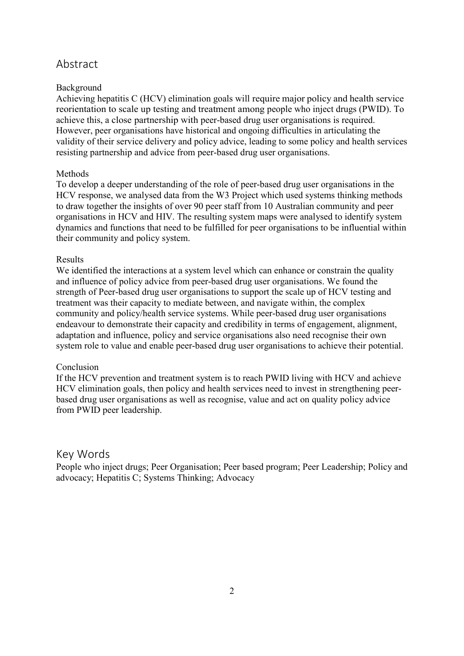# Abstract

## Background

Achieving hepatitis C (HCV) elimination goals will require major policy and health service reorientation to scale up testing and treatment among people who inject drugs (PWID). To achieve this, a close partnership with peer-based drug user organisations is required. However, peer organisations have historical and ongoing difficulties in articulating the validity of their service delivery and policy advice, leading to some policy and health services resisting partnership and advice from peer-based drug user organisations.

## Methods

To develop a deeper understanding of the role of peer-based drug user organisations in the HCV response, we analysed data from the W3 Project which used systems thinking methods to draw together the insights of over 90 peer staff from 10 Australian community and peer organisations in HCV and HIV. The resulting system maps were analysed to identify system dynamics and functions that need to be fulfilled for peer organisations to be influential within their community and policy system.

## Results

We identified the interactions at a system level which can enhance or constrain the quality and influence of policy advice from peer-based drug user organisations. We found the strength of Peer-based drug user organisations to support the scale up of HCV testing and treatment was their capacity to mediate between, and navigate within, the complex community and policy/health service systems. While peer-based drug user organisations endeavour to demonstrate their capacity and credibility in terms of engagement, alignment, adaptation and influence, policy and service organisations also need recognise their own system role to value and enable peer-based drug user organisations to achieve their potential.

## Conclusion

If the HCV prevention and treatment system is to reach PWID living with HCV and achieve HCV elimination goals, then policy and health services need to invest in strengthening peerbased drug user organisations as well as recognise, value and act on quality policy advice from PWID peer leadership.

## Key Words

People who inject drugs; Peer Organisation; Peer based program; Peer Leadership; Policy and advocacy; Hepatitis C; Systems Thinking; Advocacy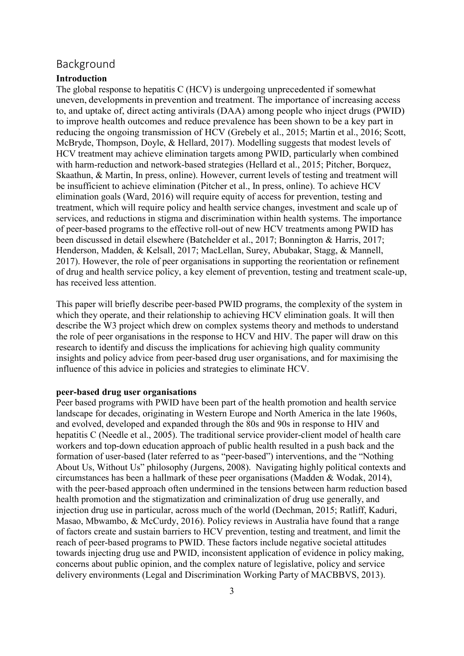## Background

#### **Introduction**

The global response to hepatitis C (HCV) is undergoing unprecedented if somewhat uneven, developments in prevention and treatment. The importance of increasing access to, and uptake of, direct acting antivirals (DAA) among people who inject drugs (PWID) to improve health outcomes and reduce prevalence has been shown to be a key part in reducing the ongoing transmission of HCV (Grebely et al., 2015; Martin et al., 2016; Scott, McBryde, Thompson, Doyle, & Hellard, 2017). Modelling suggests that modest levels of HCV treatment may achieve elimination targets among PWID, particularly when combined with harm-reduction and network-based strategies (Hellard et al., 2015; Pitcher, Borquez, Skaathun, & Martin, In press, online). However, current levels of testing and treatment will be insufficient to achieve elimination (Pitcher et al., In press, online). To achieve HCV elimination goals (Ward, 2016) will require equity of access for prevention, testing and treatment, which will require policy and health service changes, investment and scale up of services, and reductions in stigma and discrimination within health systems. The importance of peer-based programs to the effective roll-out of new HCV treatments among PWID has been discussed in detail elsewhere (Batchelder et al., 2017; Bonnington & Harris, 2017; Henderson, Madden, & Kelsall, 2017; MacLellan, Surey, Abubakar, Stagg, & Mannell, 2017). However, the role of peer organisations in supporting the reorientation or refinement of drug and health service policy, a key element of prevention, testing and treatment scale-up, has received less attention.

This paper will briefly describe peer-based PWID programs, the complexity of the system in which they operate, and their relationship to achieving HCV elimination goals. It will then describe the W3 project which drew on complex systems theory and methods to understand the role of peer organisations in the response to HCV and HIV. The paper will draw on this research to identify and discuss the implications for achieving high quality community insights and policy advice from peer-based drug user organisations, and for maximising the influence of this advice in policies and strategies to eliminate HCV.

#### **peer-based drug user organisations**

Peer based programs with PWID have been part of the health promotion and health service landscape for decades, originating in Western Europe and North America in the late 1960s, and evolved, developed and expanded through the 80s and 90s in response to HIV and hepatitis C (Needle et al., 2005). The traditional service provider-client model of health care workers and top-down education approach of public health resulted in a push back and the formation of user-based (later referred to as "peer-based") interventions, and the "Nothing About Us, Without Us" philosophy (Jurgens, 2008). Navigating highly political contexts and circumstances has been a hallmark of these peer organisations (Madden & Wodak, 2014), with the peer-based approach often undermined in the tensions between harm reduction based health promotion and the stigmatization and criminalization of drug use generally, and injection drug use in particular, across much of the world (Dechman, 2015; Ratliff, Kaduri, Masao, Mbwambo, & McCurdy, 2016). Policy reviews in Australia have found that a range of factors create and sustain barriers to HCV prevention, testing and treatment, and limit the reach of peer-based programs to PWID. These factors include negative societal attitudes towards injecting drug use and PWID, inconsistent application of evidence in policy making, concerns about public opinion, and the complex nature of legislative, policy and service delivery environments (Legal and Discrimination Working Party of MACBBVS, 2013).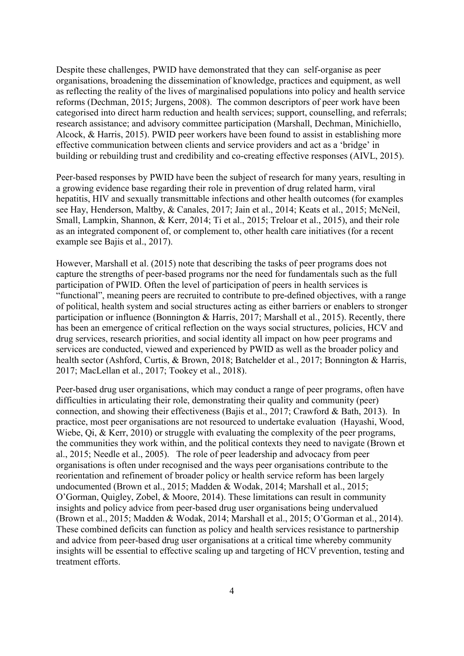Despite these challenges, PWID have demonstrated that they can self-organise as peer organisations, broadening the dissemination of knowledge, practices and equipment, as well as reflecting the reality of the lives of marginalised populations into policy and health service reforms (Dechman, 2015; Jurgens, 2008). The common descriptors of peer work have been categorised into direct harm reduction and health services; support, counselling, and referrals; research assistance; and advisory committee participation (Marshall, Dechman, Minichiello, Alcock, & Harris, 2015). PWID peer workers have been found to assist in establishing more effective communication between clients and service providers and act as a 'bridge' in building or rebuilding trust and credibility and co-creating effective responses (AIVL, 2015).

Peer-based responses by PWID have been the subject of research for many years, resulting in a growing evidence base regarding their role in prevention of drug related harm, viral hepatitis, HIV and sexually transmittable infections and other health outcomes (for examples see Hay, Henderson, Maltby, & Canales, 2017; Jain et al., 2014; Keats et al., 2015; McNeil, Small, Lampkin, Shannon, & Kerr, 2014; Ti et al., 2015; Treloar et al., 2015), and their role as an integrated component of, or complement to, other health care initiatives (for a recent example see Bajis et al., 2017).

However, Marshall et al. (2015) note that describing the tasks of peer programs does not capture the strengths of peer-based programs nor the need for fundamentals such as the full participation of PWID. Often the level of participation of peers in health services is "functional", meaning peers are recruited to contribute to pre-defined objectives, with a range of political, health system and social structures acting as either barriers or enablers to stronger participation or influence (Bonnington & Harris, 2017; Marshall et al., 2015). Recently, there has been an emergence of critical reflection on the ways social structures, policies, HCV and drug services, research priorities, and social identity all impact on how peer programs and services are conducted, viewed and experienced by PWID as well as the broader policy and health sector (Ashford, Curtis, & Brown, 2018; Batchelder et al., 2017; Bonnington & Harris, 2017; MacLellan et al., 2017; Tookey et al., 2018).

Peer-based drug user organisations, which may conduct a range of peer programs, often have difficulties in articulating their role, demonstrating their quality and community (peer) connection, and showing their effectiveness (Bajis et al., 2017; Crawford & Bath, 2013). In practice, most peer organisations are not resourced to undertake evaluation (Hayashi, Wood, Wiebe, Qi, & Kerr, 2010) or struggle with evaluating the complexity of the peer programs, the communities they work within, and the political contexts they need to navigate (Brown et al., 2015; Needle et al., 2005). The role of peer leadership and advocacy from peer organisations is often under recognised and the ways peer organisations contribute to the reorientation and refinement of broader policy or health service reform has been largely undocumented (Brown et al., 2015; Madden & Wodak, 2014; Marshall et al., 2015; O'Gorman, Quigley, Zobel, & Moore, 2014). These limitations can result in community insights and policy advice from peer-based drug user organisations being undervalued (Brown et al., 2015; Madden & Wodak, 2014; Marshall et al., 2015; O'Gorman et al., 2014). These combined deficits can function as policy and health services resistance to partnership and advice from peer-based drug user organisations at a critical time whereby community insights will be essential to effective scaling up and targeting of HCV prevention, testing and treatment efforts.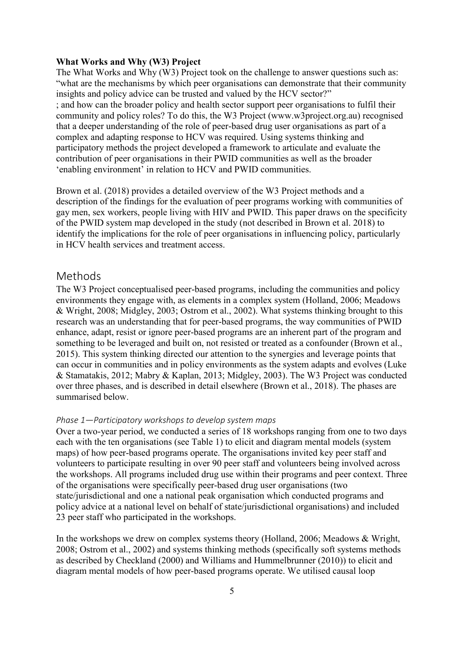#### **What Works and Why (W3) Project**

The What Works and Why (W3) Project took on the challenge to answer questions such as: "what are the mechanisms by which peer organisations can demonstrate that their community insights and policy advice can be trusted and valued by the HCV sector?" ; and how can the broader policy and health sector support peer organisations to fulfil their community and policy roles? To do this, the W3 Project [\(www.w3project.org.au\)](http://www.w3project.org.au/) recognised that a deeper understanding of the role of peer-based drug user organisations as part of a complex and adapting response to HCV was required. Using systems thinking and participatory methods the project developed a framework to articulate and evaluate the contribution of peer organisations in their PWID communities as well as the broader 'enabling environment' in relation to HCV and PWID communities.

Brown et al. (2018) provides a detailed overview of the W3 Project methods and a description of the findings for the evaluation of peer programs working with communities of gay men, sex workers, people living with HIV and PWID. This paper draws on the specificity of the PWID system map developed in the study (not described in Brown et al. 2018) to identify the implications for the role of peer organisations in influencing policy, particularly in HCV health services and treatment access.

### Methods

The W3 Project conceptualised peer-based programs, including the communities and policy environments they engage with, as elements in a complex system (Holland, 2006; Meadows & Wright, 2008; Midgley, 2003; Ostrom et al., 2002). What systems thinking brought to this research was an understanding that for peer-based programs, the way communities of PWID enhance, adapt, resist or ignore peer-based programs are an inherent part of the program and something to be leveraged and built on, not resisted or treated as a confounder (Brown et al., 2015). This system thinking directed our attention to the synergies and leverage points that can occur in communities and in policy environments as the system adapts and evolves (Luke & Stamatakis, 2012; Mabry & Kaplan, 2013; Midgley, 2003). The W3 Project was conducted over three phases, and is described in detail elsewhere (Brown et al., 2018). The phases are summarised below.

#### *Phase 1—Participatory workshops to develop system maps*

Over a two-year period, we conducted a series of 18 workshops ranging from one to two days each with the ten organisations (see Table 1) to elicit and diagram mental models (system maps) of how peer-based programs operate. The organisations invited key peer staff and volunteers to participate resulting in over 90 peer staff and volunteers being involved across the workshops. All programs included drug use within their programs and peer context. Three of the organisations were specifically peer-based drug user organisations (two state/jurisdictional and one a national peak organisation which conducted programs and policy advice at a national level on behalf of state/jurisdictional organisations) and included 23 peer staff who participated in the workshops.

In the workshops we drew on complex systems theory (Holland, 2006; Meadows & Wright, 2008; Ostrom et al., 2002) and systems thinking methods (specifically soft systems methods as described by Checkland (2000) and Williams and Hummelbrunner (2010)) to elicit and diagram mental models of how peer-based programs operate. We utilised causal loop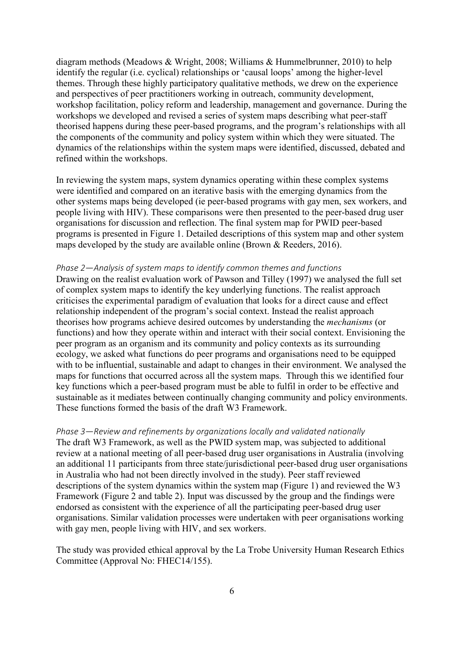diagram methods (Meadows & Wright, 2008; Williams & Hummelbrunner, 2010) to help identify the regular (i.e. cyclical) relationships or 'causal loops' among the higher-level themes. Through these highly participatory qualitative methods, we drew on the experience and perspectives of peer practitioners working in outreach, community development, workshop facilitation, policy reform and leadership, management and governance. During the workshops we developed and revised a series of system maps describing what peer-staff theorised happens during these peer-based programs, and the program's relationships with all the components of the community and policy system within which they were situated. The dynamics of the relationships within the system maps were identified, discussed, debated and refined within the workshops.

In reviewing the system maps, system dynamics operating within these complex systems were identified and compared on an iterative basis with the emerging dynamics from the other systems maps being developed (ie peer-based programs with gay men, sex workers, and people living with HIV). These comparisons were then presented to the peer-based drug user organisations for discussion and reflection. The final system map for PWID peer-based programs is presented in Figure 1. Detailed descriptions of this system map and other system maps developed by the study are available online (Brown & Reeders, 2016).

#### *Phase 2—Analysis of system maps to identify common themes and functions*

Drawing on the realist evaluation work of Pawson and Tilley (1997) we analysed the full set of complex system maps to identify the key underlying functions. The realist approach criticises the experimental paradigm of evaluation that looks for a direct cause and effect relationship independent of the program's social context. Instead the realist approach theorises how programs achieve desired outcomes by understanding the *mechanisms* (or functions) and how they operate within and interact with their social context. Envisioning the peer program as an organism and its community and policy contexts as its surrounding ecology, we asked what functions do peer programs and organisations need to be equipped with to be influential, sustainable and adapt to changes in their environment. We analysed the maps for functions that occurred across all the system maps. Through this we identified four key functions which a peer-based program must be able to fulfil in order to be effective and sustainable as it mediates between continually changing community and policy environments. These functions formed the basis of the draft W3 Framework.

#### *Phase 3—Review and refinements by organizations locally and validated nationally*

The draft W3 Framework, as well as the PWID system map, was subjected to additional review at a national meeting of all peer-based drug user organisations in Australia (involving an additional 11 participants from three state/jurisdictional peer-based drug user organisations in Australia who had not been directly involved in the study). Peer staff reviewed descriptions of the system dynamics within the system map (Figure 1) and reviewed the W3 Framework (Figure 2 and table 2). Input was discussed by the group and the findings were endorsed as consistent with the experience of all the participating peer-based drug user organisations. Similar validation processes were undertaken with peer organisations working with gay men, people living with HIV, and sex workers.

The study was provided ethical approval by the La Trobe University Human Research Ethics Committee (Approval No: FHEC14/155).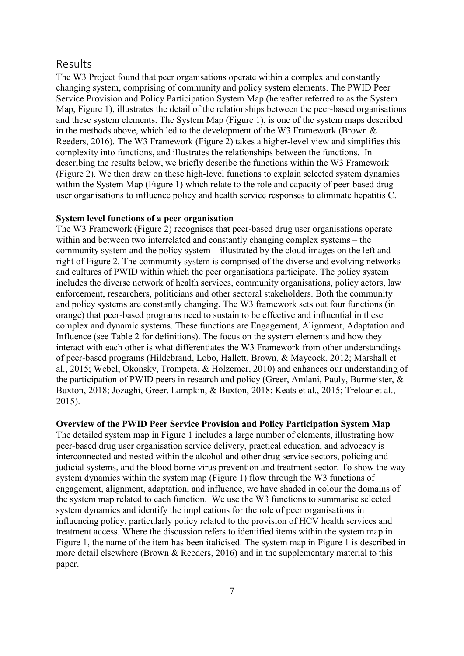## Results

The W3 Project found that peer organisations operate within a complex and constantly changing system, comprising of community and policy system elements. The PWID Peer Service Provision and Policy Participation System Map (hereafter referred to as the System Map, Figure 1), illustrates the detail of the relationships between the peer-based organisations and these system elements. The System Map (Figure 1), is one of the system maps described in the methods above, which led to the development of the W3 Framework (Brown & Reeders, 2016). The W3 Framework (Figure 2) takes a higher-level view and simplifies this complexity into functions, and illustrates the relationships between the functions. In describing the results below, we briefly describe the functions within the W3 Framework (Figure 2). We then draw on these high-level functions to explain selected system dynamics within the System Map (Figure 1) which relate to the role and capacity of peer-based drug user organisations to influence policy and health service responses to eliminate hepatitis C.

#### **System level functions of a peer organisation**

The W3 Framework (Figure 2) recognises that peer-based drug user organisations operate within and between two interrelated and constantly changing complex systems – the community system and the policy system – illustrated by the cloud images on the left and right of Figure 2. The community system is comprised of the diverse and evolving networks and cultures of PWID within which the peer organisations participate. The policy system includes the diverse network of health services, community organisations, policy actors, law enforcement, researchers, politicians and other sectoral stakeholders. Both the community and policy systems are constantly changing. The W3 framework sets out four functions (in orange) that peer-based programs need to sustain to be effective and influential in these complex and dynamic systems. These functions are Engagement, Alignment, Adaptation and Influence (see Table 2 for definitions). The focus on the system elements and how they interact with each other is what differentiates the W3 Framework from other understandings of peer-based programs (Hildebrand, Lobo, Hallett, Brown, & Maycock, 2012; Marshall et al., 2015; Webel, Okonsky, Trompeta, & Holzemer, 2010) and enhances our understanding of the participation of PWID peers in research and policy (Greer, Amlani, Pauly, Burmeister, & Buxton, 2018; Jozaghi, Greer, Lampkin, & Buxton, 2018; Keats et al., 2015; Treloar et al., 2015).

#### **Overview of the PWID Peer Service Provision and Policy Participation System Map**

The detailed system map in Figure 1 includes a large number of elements, illustrating how peer-based drug user organisation service delivery, practical education, and advocacy is interconnected and nested within the alcohol and other drug service sectors, policing and judicial systems, and the blood borne virus prevention and treatment sector. To show the way system dynamics within the system map (Figure 1) flow through the W3 functions of engagement, alignment, adaptation, and influence, we have shaded in colour the domains of the system map related to each function. We use the W3 functions to summarise selected system dynamics and identify the implications for the role of peer organisations in influencing policy, particularly policy related to the provision of HCV health services and treatment access. Where the discussion refers to identified items within the system map in Figure 1, the name of the item has been italicised. The system map in Figure 1 is described in more detail elsewhere (Brown & Reeders, 2016) and in the supplementary material to this paper.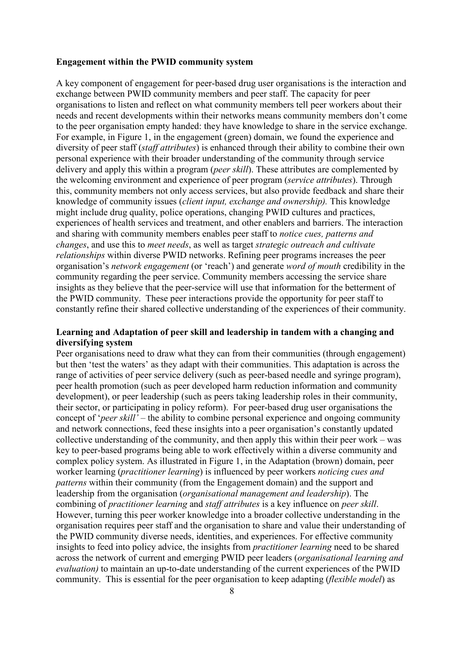#### **Engagement within the PWID community system**

A key component of engagement for peer-based drug user organisations is the interaction and exchange between PWID community members and peer staff. The capacity for peer organisations to listen and reflect on what community members tell peer workers about their needs and recent developments within their networks means community members don't come to the peer organisation empty handed: they have knowledge to share in the service exchange. For example, in Figure 1, in the engagement (green) domain, we found the experience and diversity of peer staff (*staff attributes*) is enhanced through their ability to combine their own personal experience with their broader understanding of the community through service delivery and apply this within a program (*peer skill*). These attributes are complemented by the welcoming environment and experience of peer program (*service attributes*). Through this, community members not only access services, but also provide feedback and share their knowledge of community issues (*client input, exchange and ownership).* This knowledge might include drug quality, police operations, changing PWID cultures and practices, experiences of health services and treatment, and other enablers and barriers. The interaction and sharing with community members enables peer staff to *notice cues, patterns and changes*, and use this to *meet needs*, as well as target *strategic outreach and cultivate relationships* within diverse PWID networks. Refining peer programs increases the peer organisation's *network engagement* (or 'reach') and generate *word of mouth* credibility in the community regarding the peer service. Community members accessing the service share insights as they believe that the peer-service will use that information for the betterment of the PWID community. These peer interactions provide the opportunity for peer staff to constantly refine their shared collective understanding of the experiences of their community.

### **Learning and Adaptation of peer skill and leadership in tandem with a changing and diversifying system**

Peer organisations need to draw what they can from their communities (through engagement) but then 'test the waters' as they adapt with their communities. This adaptation is across the range of activities of peer service delivery (such as peer-based needle and syringe program), peer health promotion (such as peer developed harm reduction information and community development), or peer leadership (such as peers taking leadership roles in their community, their sector, or participating in policy reform). For peer-based drug user organisations the concept of '*peer skill'* – the ability to combine personal experience and ongoing community and network connections, feed these insights into a peer organisation's constantly updated collective understanding of the community, and then apply this within their peer work – was key to peer-based programs being able to work effectively within a diverse community and complex policy system. As illustrated in Figure 1, in the Adaptation (brown) domain, peer worker learning (*practitioner learning*) is influenced by peer workers *noticing cues and patterns* within their community (from the Engagement domain) and the support and leadership from the organisation (*organisational management and leadership*). The combining of *practitioner learning* and *staff attributes* is a key influence on *peer skill*. However, turning this peer worker knowledge into a broader collective understanding in the organisation requires peer staff and the organisation to share and value their understanding of the PWID community diverse needs, identities, and experiences. For effective community insights to feed into policy advice, the insights from *practitioner learning* need to be shared across the network of current and emerging PWID peer leaders (*organisational learning and evaluation)* to maintain an up-to-date understanding of the current experiences of the PWID community. This is essential for the peer organisation to keep adapting (*flexible model*) as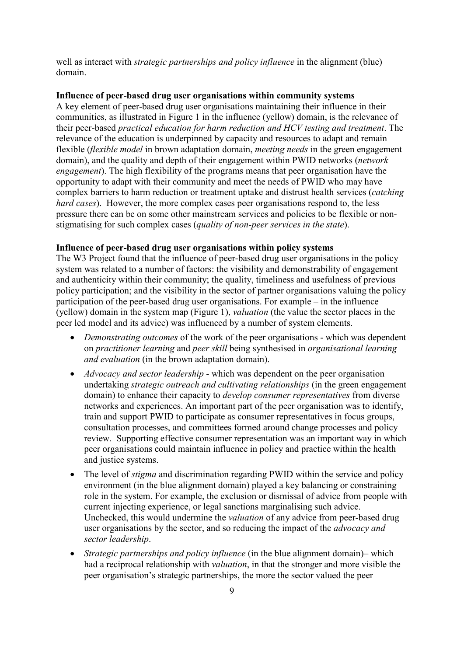well as interact with *strategic partnerships and policy influence* in the alignment (blue) domain.

#### **Influence of peer-based drug user organisations within community systems**

A key element of peer-based drug user organisations maintaining their influence in their communities, as illustrated in Figure 1 in the influence (yellow) domain, is the relevance of their peer-based *practical education for harm reduction and HCV testing and treatment*. The relevance of the education is underpinned by capacity and resources to adapt and remain flexible (*flexible model* in brown adaptation domain, *meeting needs* in the green engagement domain), and the quality and depth of their engagement within PWID networks (*network engagement*). The high flexibility of the programs means that peer organisation have the opportunity to adapt with their community and meet the needs of PWID who may have complex barriers to harm reduction or treatment uptake and distrust health services (*catching hard cases*). However, the more complex cases peer organisations respond to, the less pressure there can be on some other mainstream services and policies to be flexible or nonstigmatising for such complex cases (*quality of non-peer services in the state*).

#### **Influence of peer-based drug user organisations within policy systems**

The W3 Project found that the influence of peer-based drug user organisations in the policy system was related to a number of factors: the visibility and demonstrability of engagement and authenticity within their community; the quality, timeliness and usefulness of previous policy participation; and the visibility in the sector of partner organisations valuing the policy participation of the peer-based drug user organisations. For example – in the influence (yellow) domain in the system map (Figure 1), *valuation* (the value the sector places in the peer led model and its advice) was influenced by a number of system elements.

- *Demonstrating outcomes* of the work of the peer organisations which was dependent on *practitioner learning* and *peer skill* being synthesised in *organisational learning and evaluation* (in the brown adaptation domain).
- *Advocacy and sector leadership* which was dependent on the peer organisation undertaking *strategic outreach and cultivating relationships* (in the green engagement domain) to enhance their capacity to *develop consumer representatives* from diverse networks and experiences. An important part of the peer organisation was to identify, train and support PWID to participate as consumer representatives in focus groups, consultation processes, and committees formed around change processes and policy review. Supporting effective consumer representation was an important way in which peer organisations could maintain influence in policy and practice within the health and justice systems.
- The level of *stigma* and discrimination regarding PWID within the service and policy environment (in the blue alignment domain) played a key balancing or constraining role in the system. For example, the exclusion or dismissal of advice from people with current injecting experience, or legal sanctions marginalising such advice. Unchecked, this would undermine the *valuation* of any advice from peer-based drug user organisations by the sector, and so reducing the impact of the *advocacy and sector leadership*.
- *Strategic partnerships and policy influence* (in the blue alignment domain)– which had a reciprocal relationship with *valuation*, in that the stronger and more visible the peer organisation's strategic partnerships, the more the sector valued the peer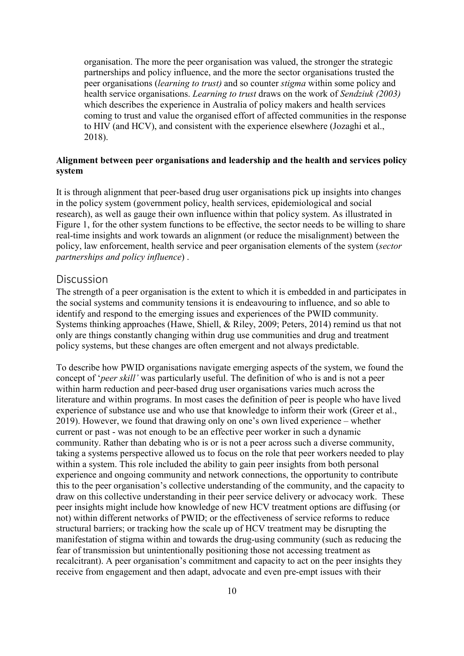organisation. The more the peer organisation was valued, the stronger the strategic partnerships and policy influence, and the more the sector organisations trusted the peer organisations (*learning to trust)* and so counter *stigma* within some policy and health service organisations. *Learning to trust* draws on the work of *Sendziuk (2003)* which describes the experience in Australia of policy makers and health services coming to trust and value the organised effort of affected communities in the response to HIV (and HCV), and consistent with the experience elsewhere (Jozaghi et al., 2018).

## **Alignment between peer organisations and leadership and the health and services policy system**

It is through alignment that peer-based drug user organisations pick up insights into changes in the policy system (government policy, health services, epidemiological and social research), as well as gauge their own influence within that policy system. As illustrated in Figure 1, for the other system functions to be effective, the sector needs to be willing to share real-time insights and work towards an alignment (or reduce the misalignment) between the policy, law enforcement, health service and peer organisation elements of the system (*sector partnerships and policy influence*) .

## **Discussion**

The strength of a peer organisation is the extent to which it is embedded in and participates in the social systems and community tensions it is endeavouring to influence, and so able to identify and respond to the emerging issues and experiences of the PWID community. Systems thinking approaches (Hawe, Shiell, & Riley, 2009; Peters, 2014) remind us that not only are things constantly changing within drug use communities and drug and treatment policy systems, but these changes are often emergent and not always predictable.

To describe how PWID organisations navigate emerging aspects of the system, we found the concept of '*peer skill'* was particularly useful. The definition of who is and is not a peer within harm reduction and peer-based drug user organisations varies much across the literature and within programs. In most cases the definition of peer is people who have lived experience of substance use and who use that knowledge to inform their work (Greer et al., 2019). However, we found that drawing only on one's own lived experience – whether current or past - was not enough to be an effective peer worker in such a dynamic community. Rather than debating who is or is not a peer across such a diverse community, taking a systems perspective allowed us to focus on the role that peer workers needed to play within a system. This role included the ability to gain peer insights from both personal experience and ongoing community and network connections, the opportunity to contribute this to the peer organisation's collective understanding of the community, and the capacity to draw on this collective understanding in their peer service delivery or advocacy work. These peer insights might include how knowledge of new HCV treatment options are diffusing (or not) within different networks of PWID; or the effectiveness of service reforms to reduce structural barriers; or tracking how the scale up of HCV treatment may be disrupting the manifestation of stigma within and towards the drug-using community (such as reducing the fear of transmission but unintentionally positioning those not accessing treatment as recalcitrant). A peer organisation's commitment and capacity to act on the peer insights they receive from engagement and then adapt, advocate and even pre-empt issues with their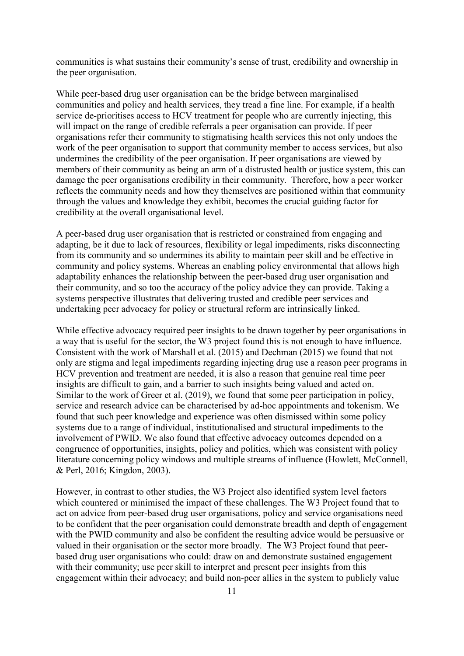communities is what sustains their community's sense of trust, credibility and ownership in the peer organisation.

While peer-based drug user organisation can be the bridge between marginalised communities and policy and health services, they tread a fine line. For example, if a health service de-prioritises access to HCV treatment for people who are currently injecting, this will impact on the range of credible referrals a peer organisation can provide. If peer organisations refer their community to stigmatising health services this not only undoes the work of the peer organisation to support that community member to access services, but also undermines the credibility of the peer organisation. If peer organisations are viewed by members of their community as being an arm of a distrusted health or justice system, this can damage the peer organisations credibility in their community. Therefore, how a peer worker reflects the community needs and how they themselves are positioned within that community through the values and knowledge they exhibit, becomes the crucial guiding factor for credibility at the overall organisational level.

A peer-based drug user organisation that is restricted or constrained from engaging and adapting, be it due to lack of resources, flexibility or legal impediments, risks disconnecting from its community and so undermines its ability to maintain peer skill and be effective in community and policy systems. Whereas an enabling policy environmental that allows high adaptability enhances the relationship between the peer-based drug user organisation and their community, and so too the accuracy of the policy advice they can provide. Taking a systems perspective illustrates that delivering trusted and credible peer services and undertaking peer advocacy for policy or structural reform are intrinsically linked.

While effective advocacy required peer insights to be drawn together by peer organisations in a way that is useful for the sector, the W3 project found this is not enough to have influence. Consistent with the work of Marshall et al. (2015) and Dechman (2015) we found that not only are stigma and legal impediments regarding injecting drug use a reason peer programs in HCV prevention and treatment are needed, it is also a reason that genuine real time peer insights are difficult to gain, and a barrier to such insights being valued and acted on. Similar to the work of Greer et al. (2019), we found that some peer participation in policy, service and research advice can be characterised by ad-hoc appointments and tokenism. We found that such peer knowledge and experience was often dismissed within some policy systems due to a range of individual, institutionalised and structural impediments to the involvement of PWID. We also found that effective advocacy outcomes depended on a congruence of opportunities, insights, policy and politics, which was consistent with policy literature concerning policy windows and multiple streams of influence (Howlett, McConnell, & Perl, 2016; Kingdon, 2003).

However, in contrast to other studies, the W3 Project also identified system level factors which countered or minimised the impact of these challenges. The W3 Project found that to act on advice from peer-based drug user organisations, policy and service organisations need to be confident that the peer organisation could demonstrate breadth and depth of engagement with the PWID community and also be confident the resulting advice would be persuasive or valued in their organisation or the sector more broadly. The W3 Project found that peerbased drug user organisations who could: draw on and demonstrate sustained engagement with their community; use peer skill to interpret and present peer insights from this engagement within their advocacy; and build non-peer allies in the system to publicly value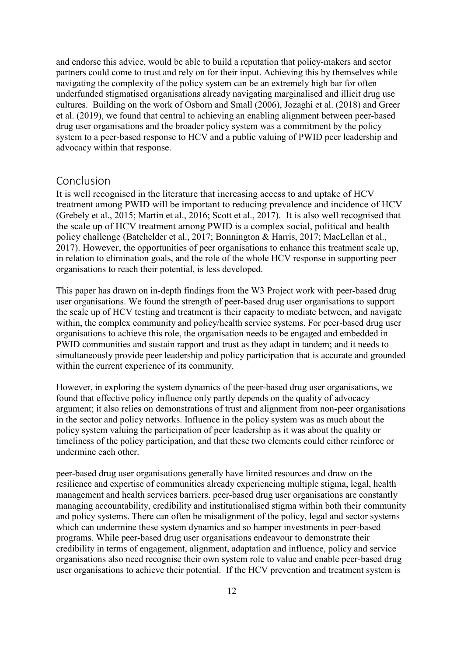and endorse this advice, would be able to build a reputation that policy-makers and sector partners could come to trust and rely on for their input. Achieving this by themselves while navigating the complexity of the policy system can be an extremely high bar for often underfunded stigmatised organisations already navigating marginalised and illicit drug use cultures. Building on the work of Osborn and Small (2006), Jozaghi et al. (2018) and Greer et al. (2019), we found that central to achieving an enabling alignment between peer-based drug user organisations and the broader policy system was a commitment by the policy system to a peer-based response to HCV and a public valuing of PWID peer leadership and advocacy within that response.

# Conclusion

It is well recognised in the literature that increasing access to and uptake of HCV treatment among PWID will be important to reducing prevalence and incidence of HCV (Grebely et al., 2015; Martin et al., 2016; Scott et al., 2017). It is also well recognised that the scale up of HCV treatment among PWID is a complex social, political and health policy challenge (Batchelder et al., 2017; Bonnington & Harris, 2017; MacLellan et al., 2017). However, the opportunities of peer organisations to enhance this treatment scale up, in relation to elimination goals, and the role of the whole HCV response in supporting peer organisations to reach their potential, is less developed.

This paper has drawn on in-depth findings from the W3 Project work with peer-based drug user organisations. We found the strength of peer-based drug user organisations to support the scale up of HCV testing and treatment is their capacity to mediate between, and navigate within, the complex community and policy/health service systems. For peer-based drug user organisations to achieve this role, the organisation needs to be engaged and embedded in PWID communities and sustain rapport and trust as they adapt in tandem; and it needs to simultaneously provide peer leadership and policy participation that is accurate and grounded within the current experience of its community.

However, in exploring the system dynamics of the peer-based drug user organisations, we found that effective policy influence only partly depends on the quality of advocacy argument; it also relies on demonstrations of trust and alignment from non-peer organisations in the sector and policy networks. Influence in the policy system was as much about the policy system valuing the participation of peer leadership as it was about the quality or timeliness of the policy participation, and that these two elements could either reinforce or undermine each other.

peer-based drug user organisations generally have limited resources and draw on the resilience and expertise of communities already experiencing multiple stigma, legal, health management and health services barriers. peer-based drug user organisations are constantly managing accountability, credibility and institutionalised stigma within both their community and policy systems. There can often be misalignment of the policy, legal and sector systems which can undermine these system dynamics and so hamper investments in peer-based programs. While peer-based drug user organisations endeavour to demonstrate their credibility in terms of engagement, alignment, adaptation and influence, policy and service organisations also need recognise their own system role to value and enable peer-based drug user organisations to achieve their potential. If the HCV prevention and treatment system is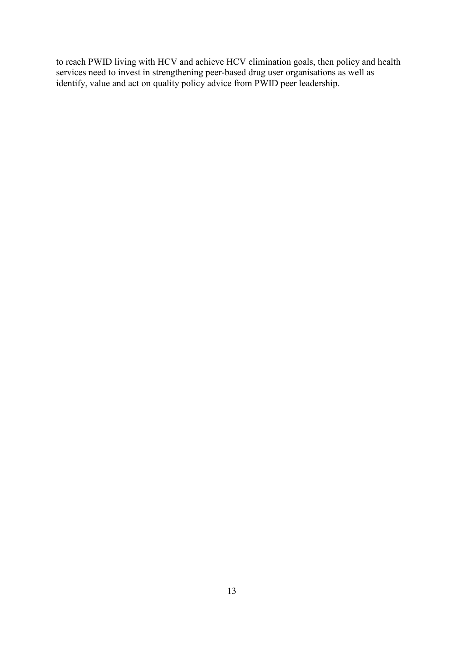to reach PWID living with HCV and achieve HCV elimination goals, then policy and health services need to invest in strengthening peer-based drug user organisations as well as identify, value and act on quality policy advice from PWID peer leadership.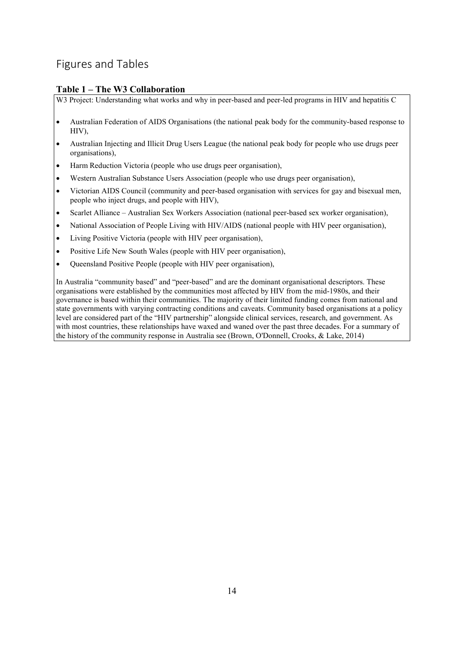# Figures and Tables

## **Table 1 – The W3 Collaboration**

W3 Project: Understanding what works and why in peer-based and peer-led programs in HIV and hepatitis C

- Australian Federation of AIDS Organisations (the national peak body for the community-based response to HIV),
- Australian Injecting and Illicit Drug Users League (the national peak body for people who use drugs peer organisations),
- Harm Reduction Victoria (people who use drugs peer organisation),
- Western Australian Substance Users Association (people who use drugs peer organisation),
- Victorian AIDS Council (community and peer-based organisation with services for gay and bisexual men, people who inject drugs, and people with HIV),
- Scarlet Alliance Australian Sex Workers Association (national peer-based sex worker organisation),
- National Association of People Living with HIV/AIDS (national people with HIV peer organisation),
- Living Positive Victoria (people with HIV peer organisation),
- Positive Life New South Wales (people with HIV peer organisation),
- Queensland Positive People (people with HIV peer organisation),

In Australia "community based" and "peer-based" and are the dominant organisational descriptors. These organisations were established by the communities most affected by HIV from the mid-1980s, and their governance is based within their communities. The majority of their limited funding comes from national and state governments with varying contracting conditions and caveats. Community based organisations at a policy level are considered part of the "HIV partnership" alongside clinical services, research, and government. As with most countries, these relationships have waxed and waned over the past three decades. For a summary of the history of the community response in Australia see (Brown, O'Donnell, Crooks, & Lake, 2014)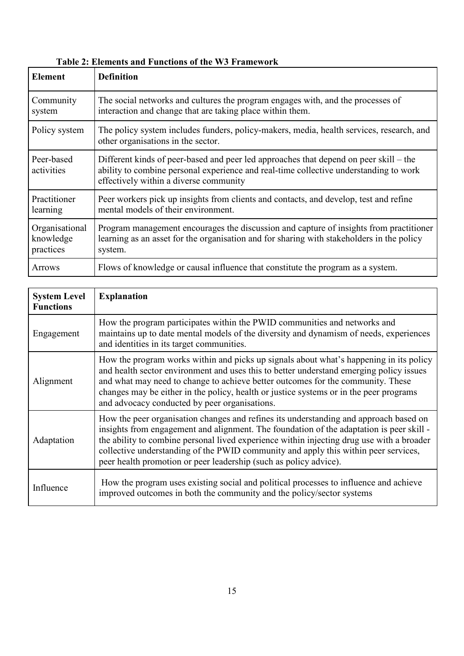| <b>Element</b>                           | <b>Definition</b>                                                                                                                                                                                                        |
|------------------------------------------|--------------------------------------------------------------------------------------------------------------------------------------------------------------------------------------------------------------------------|
| Community<br>system                      | The social networks and cultures the program engages with, and the processes of<br>interaction and change that are taking place within them.                                                                             |
| Policy system                            | The policy system includes funders, policy-makers, media, health services, research, and<br>other organisations in the sector.                                                                                           |
| Peer-based<br>activities                 | Different kinds of peer-based and peer led approaches that depend on peer skill – the<br>ability to combine personal experience and real-time collective understanding to work<br>effectively within a diverse community |
| Practitioner<br>learning                 | Peer workers pick up insights from clients and contacts, and develop, test and refine<br>mental models of their environment.                                                                                             |
| Organisational<br>knowledge<br>practices | Program management encourages the discussion and capture of insights from practitioner<br>learning as an asset for the organisation and for sharing with stakeholders in the policy<br>system.                           |
| <b>Arrows</b>                            | Flows of knowledge or causal influence that constitute the program as a system.                                                                                                                                          |

# **Table 2: Elements and Functions of the W3 Framework**

| <b>System Level</b><br><b>Functions</b> | <b>Explanation</b>                                                                                                                                                                                                                                                                                                                                                                                                                         |
|-----------------------------------------|--------------------------------------------------------------------------------------------------------------------------------------------------------------------------------------------------------------------------------------------------------------------------------------------------------------------------------------------------------------------------------------------------------------------------------------------|
| Engagement                              | How the program participates within the PWID communities and networks and<br>maintains up to date mental models of the diversity and dynamism of needs, experiences<br>and identities in its target communities.                                                                                                                                                                                                                           |
| Alignment                               | How the program works within and picks up signals about what's happening in its policy<br>and health sector environment and uses this to better understand emerging policy issues<br>and what may need to change to achieve better outcomes for the community. These<br>changes may be either in the policy, health or justice systems or in the peer programs<br>and advocacy conducted by peer organisations.                            |
| Adaptation                              | How the peer organisation changes and refines its understanding and approach based on<br>insights from engagement and alignment. The foundation of the adaptation is peer skill -<br>the ability to combine personal lived experience within injecting drug use with a broader<br>collective understanding of the PWID community and apply this within peer services,<br>peer health promotion or peer leadership (such as policy advice). |
| Influence                               | How the program uses existing social and political processes to influence and achieve<br>improved outcomes in both the community and the policy/sector systems                                                                                                                                                                                                                                                                             |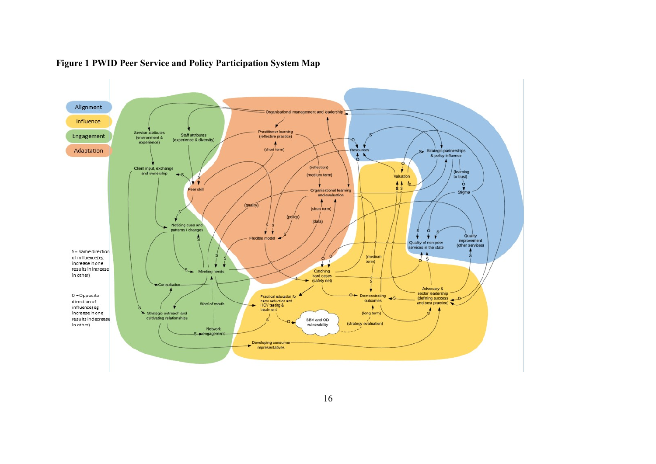

## **Figure 1 PWID Peer Service and Policy Participation System Map**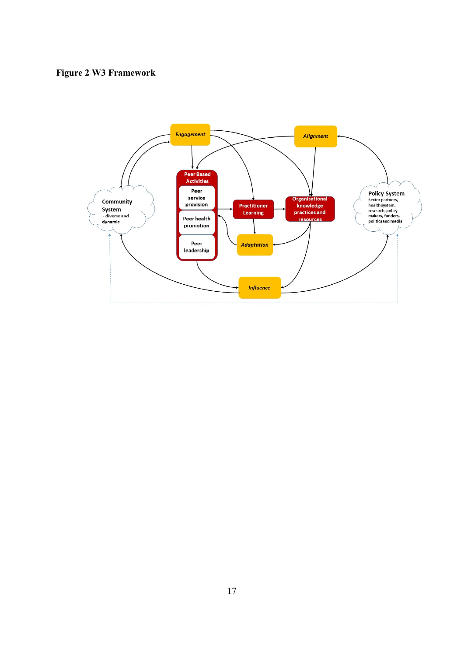# **Figure 2 W3 Framework**

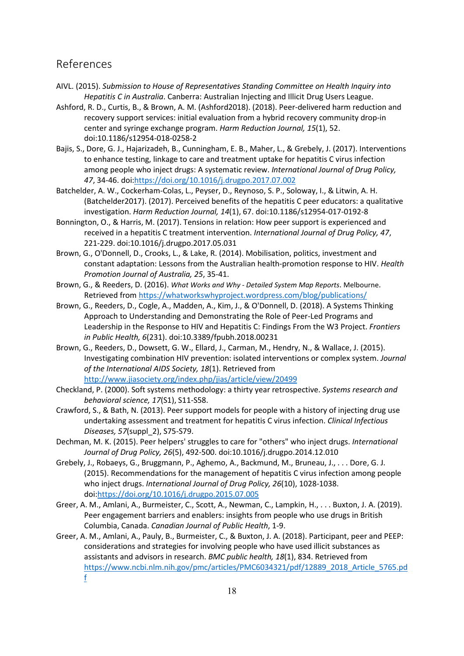# References

- AIVL. (2015). *Submission to House of Representatives Standing Committee on Health Inquiry into Hepatitis C in Australia*. Canberra: Australian Injecting and Illicit Drug Users League.
- Ashford, R. D., Curtis, B., & Brown, A. M. (Ashford2018). (2018). Peer-delivered harm reduction and recovery support services: initial evaluation from a hybrid recovery community drop-in center and syringe exchange program. *Harm Reduction Journal, 15*(1), 52. doi:10.1186/s12954-018-0258-2
- Bajis, S., Dore, G. J., Hajarizadeh, B., Cunningham, E. B., Maher, L., & Grebely, J. (2017). Interventions to enhance testing, linkage to care and treatment uptake for hepatitis C virus infection among people who inject drugs: A systematic review. *International Journal of Drug Policy, 47*, 34-46. doi:https://doi.org/10.1016/j.drugpo.2017.07.002
- Batchelder, A. W., Cockerham-Colas, L., Peyser, D., Reynoso, S. P., Soloway, I., & Litwin, A. H. (Batchelder2017). (2017). Perceived benefits of the hepatitis C peer educators: a qualitative investigation. *Harm Reduction Journal, 14*(1), 67. doi:10.1186/s12954-017-0192-8
- Bonnington, O., & Harris, M. (2017). Tensions in relation: How peer support is experienced and received in a hepatitis C treatment intervention. *International Journal of Drug Policy, 47*, 221-229. doi:10.1016/j.drugpo.2017.05.031
- Brown, G., O'Donnell, D., Crooks, L., & Lake, R. (2014). Mobilisation, politics, investment and constant adaptation: Lessons from the Australian health-promotion response to HIV. *Health Promotion Journal of Australia, 25*, 35-41.
- Brown, G., & Reeders, D. (2016). *What Works and Why - Detailed System Map Reports*. Melbourne. Retrieved from https://whatworkswhyproject.wordpress.com/blog/publications/
- Brown, G., Reeders, D., Cogle, A., Madden, A., Kim, J., & O'Donnell, D. (2018). A Systems Thinking Approach to Understanding and Demonstrating the Role of Peer-Led Programs and Leadership in the Response to HIV and Hepatitis C: Findings From the W3 Project. *Frontiers in Public Health, 6*(231). doi:10.3389/fpubh.2018.00231
- Brown, G., Reeders, D., Dowsett, G. W., Ellard, J., Carman, M., Hendry, N., & Wallace, J. (2015). Investigating combination HIV prevention: isolated interventions or complex system. *Journal of the International AIDS Society, 18*(1). Retrieved from http://www.jiasociety.org/index.php/jias/article/view/20499
- Checkland, P. (2000). Soft systems methodology: a thirty year retrospective. *Systems research and behavioral science, 17*(S1), S11-S58.
- Crawford, S., & Bath, N. (2013). Peer support models for people with a history of injecting drug use undertaking assessment and treatment for hepatitis C virus infection. *Clinical Infectious Diseases, 57*(suppl\_2), S75-S79.
- Dechman, M. K. (2015). Peer helpers' struggles to care for "others" who inject drugs. *International Journal of Drug Policy, 26*(5), 492-500. doi:10.1016/j.drugpo.2014.12.010
- Grebely, J., Robaeys, G., Bruggmann, P., Aghemo, A., Backmund, M., Bruneau, J., . . . Dore, G. J. (2015). Recommendations for the management of hepatitis C virus infection among people who inject drugs. *International Journal of Drug Policy, 26*(10), 1028-1038. doi:https://doi.org/10.1016/j.drugpo.2015.07.005
- Greer, A. M., Amlani, A., Burmeister, C., Scott, A., Newman, C., Lampkin, H., . . . Buxton, J. A. (2019). Peer engagement barriers and enablers: insights from people who use drugs in British Columbia, Canada. *Canadian Journal of Public Health*, 1-9.
- Greer, A. M., Amlani, A., Pauly, B., Burmeister, C., & Buxton, J. A. (2018). Participant, peer and PEEP: considerations and strategies for involving people who have used illicit substances as assistants and advisors in research. *BMC public health, 18*(1), 834. Retrieved from https://www.ncbi.nlm.nih.gov/pmc/articles/PMC6034321/pdf/12889\_2018\_Article\_5765.pd f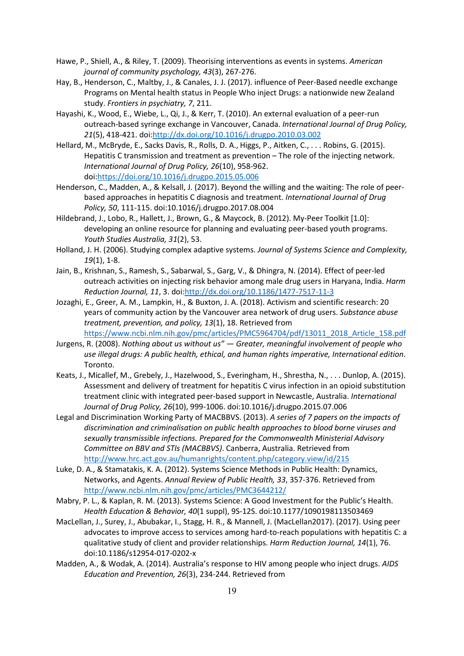- Hawe, P., Shiell, A., & Riley, T. (2009). Theorising interventions as events in systems. *American journal of community psychology, 43*(3), 267-276.
- Hay, B., Henderson, C., Maltby, J., & Canales, J. J. (2017). influence of Peer-Based needle exchange Programs on Mental health status in People Who inject Drugs: a nationwide new Zealand study. *Frontiers in psychiatry, 7*, 211.
- Hayashi, K., Wood, E., Wiebe, L., Qi, J., & Kerr, T. (2010). An external evaluation of a peer-run outreach-based syringe exchange in Vancouver, Canada. *International Journal of Drug Policy, 21*(5), 418-421. doi:http://dx.doi.org/10.1016/j.drugpo.2010.03.002
- Hellard, M., McBryde, E., Sacks Davis, R., Rolls, D. A., Higgs, P., Aitken, C., . . . Robins, G. (2015). Hepatitis C transmission and treatment as prevention – The role of the injecting network. *International Journal of Drug Policy, 26*(10), 958-962. doi:https://doi.org/10.1016/j.drugpo.2015.05.006
- Henderson, C., Madden, A., & Kelsall, J. (2017). Beyond the willing and the waiting: The role of peerbased approaches in hepatitis C diagnosis and treatment. *International Journal of Drug Policy, 50*, 111-115. doi:10.1016/j.drugpo.2017.08.004
- Hildebrand, J., Lobo, R., Hallett, J., Brown, G., & Maycock, B. (2012). My-Peer Toolkit [1.0]: developing an online resource for planning and evaluating peer-based youth programs. *Youth Studies Australia, 31*(2), 53.
- Holland, J. H. (2006). Studying complex adaptive systems. *Journal of Systems Science and Complexity, 19*(1), 1-8.
- Jain, B., Krishnan, S., Ramesh, S., Sabarwal, S., Garg, V., & Dhingra, N. (2014). Effect of peer-led outreach activities on injecting risk behavior among male drug users in Haryana, India. *Harm Reduction Journal, 11*, 3. doi:http://dx.doi.org/10.1186/1477-7517-11-3
- Jozaghi, E., Greer, A. M., Lampkin, H., & Buxton, J. A. (2018). Activism and scientific research: 20 years of community action by the Vancouver area network of drug users. *Substance abuse treatment, prevention, and policy, 13*(1), 18. Retrieved from https://www.ncbi.nlm.nih.gov/pmc/articles/PMC5964704/pdf/13011\_2018\_Article\_158.pdf
- Jurgens, R. (2008). *Nothing about us without us" — Greater, meaningful involvement of people who use illegal drugs: A public health, ethical, and human rights imperative, International edition*. Toronto.
- Keats, J., Micallef, M., Grebely, J., Hazelwood, S., Everingham, H., Shrestha, N., . . . Dunlop, A. (2015). Assessment and delivery of treatment for hepatitis C virus infection in an opioid substitution treatment clinic with integrated peer-based support in Newcastle, Australia. *International Journal of Drug Policy, 26*(10), 999-1006. doi:10.1016/j.drugpo.2015.07.006
- Legal and Discrimination Working Party of MACBBVS. (2013). *A series of 7 papers on the impacts of discrimination and criminalisation on public health approaches to blood borne viruses and sexually transmissible infections. Prepared for the Commonwealth Ministerial Advisory Committee on BBV and STIs (MACBBVS)*. Canberra, Australia. Retrieved from http://www.hrc.act.gov.au/humanrights/content.php/category.view/id/215
- Luke, D. A., & Stamatakis, K. A. (2012). Systems Science Methods in Public Health: Dynamics, Networks, and Agents. *Annual Review of Public Health, 33*, 357-376. Retrieved from http://www.ncbi.nlm.nih.gov/pmc/articles/PMC3644212/
- Mabry, P. L., & Kaplan, R. M. (2013). Systems Science: A Good Investment for the Public's Health. *Health Education & Behavior, 40*(1 suppl), 9S-12S. doi:10.1177/1090198113503469
- MacLellan, J., Surey, J., Abubakar, I., Stagg, H. R., & Mannell, J. (MacLellan2017). (2017). Using peer advocates to improve access to services among hard-to-reach populations with hepatitis C: a qualitative study of client and provider relationships. *Harm Reduction Journal, 14*(1), 76. doi:10.1186/s12954-017-0202-x
- Madden, A., & Wodak, A. (2014). Australia's response to HIV among people who inject drugs. *AIDS Education and Prevention, 26*(3), 234-244. Retrieved from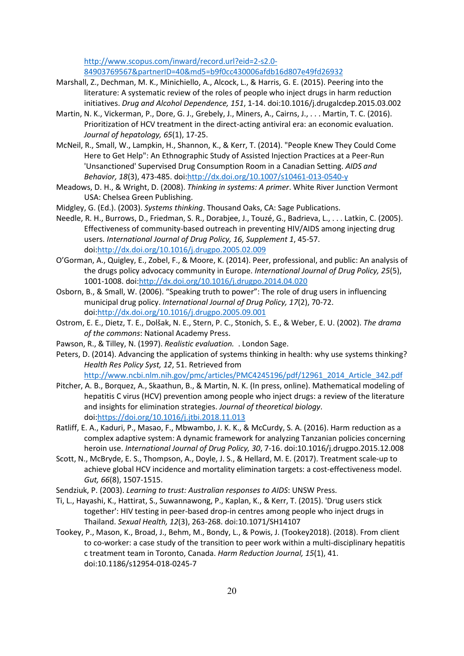http://www.scopus.com/inward/record.url?eid=2-s2.0- 84903769567&partnerID=40&md5=b9f0cc430006afdb16d807e49fd26932

- Marshall, Z., Dechman, M. K., Minichiello, A., Alcock, L., & Harris, G. E. (2015). Peering into the literature: A systematic review of the roles of people who inject drugs in harm reduction initiatives. *Drug and Alcohol Dependence, 151*, 1-14. doi:10.1016/j.drugalcdep.2015.03.002
- Martin, N. K., Vickerman, P., Dore, G. J., Grebely, J., Miners, A., Cairns, J., . . . Martin, T. C. (2016). Prioritization of HCV treatment in the direct-acting antiviral era: an economic evaluation. *Journal of hepatology, 65*(1), 17-25.
- McNeil, R., Small, W., Lampkin, H., Shannon, K., & Kerr, T. (2014). "People Knew They Could Come Here to Get Help": An Ethnographic Study of Assisted Injection Practices at a Peer-Run 'Unsanctioned' Supervised Drug Consumption Room in a Canadian Setting. *AIDS and Behavior, 18*(3), 473-485. doi:http://dx.doi.org/10.1007/s10461-013-0540-y
- Meadows, D. H., & Wright, D. (2008). *Thinking in systems: A primer*. White River Junction Vermont USA: Chelsea Green Publishing.
- Midgley, G. (Ed.). (2003). *Systems thinking*. Thousand Oaks, CA: Sage Publications.
- Needle, R. H., Burrows, D., Friedman, S. R., Dorabjee, J., Touzé, G., Badrieva, L., . . . Latkin, C. (2005). Effectiveness of community-based outreach in preventing HIV/AIDS among injecting drug users. *International Journal of Drug Policy, 16, Supplement 1*, 45-57. doi:http://dx.doi.org/10.1016/j.drugpo.2005.02.009
- O'Gorman, A., Quigley, E., Zobel, F., & Moore, K. (2014). Peer, professional, and public: An analysis of the drugs policy advocacy community in Europe. *International Journal of Drug Policy, 25*(5), 1001-1008. doi:http://dx.doi.org/10.1016/j.drugpo.2014.04.020
- Osborn, B., & Small, W. (2006). "Speaking truth to power": The role of drug users in influencing municipal drug policy. *International Journal of Drug Policy, 17*(2), 70-72. doi:http://dx.doi.org/10.1016/j.drugpo.2005.09.001
- Ostrom, E. E., Dietz, T. E., Dolšak, N. E., Stern, P. C., Stonich, S. E., & Weber, E. U. (2002). *The drama of the commons*: National Academy Press.
- Pawson, R., & Tilley, N. (1997). *Realistic evaluation.* . London Sage.
- Peters, D. (2014). Advancing the application of systems thinking in health: why use systems thinking? *Health Res Policy Syst, 12*, 51. Retrieved from http://www.ncbi.nlm.nih.gov/pmc/articles/PMC4245196/pdf/12961\_2014\_Article\_342.pdf
- Pitcher, A. B., Borquez, A., Skaathun, B., & Martin, N. K. (In press, online). Mathematical modeling of hepatitis C virus (HCV) prevention among people who inject drugs: a review of the literature and insights for elimination strategies. *Journal of theoretical biology*. doi:https://doi.org/10.1016/j.jtbi.2018.11.013
- Ratliff, E. A., Kaduri, P., Masao, F., Mbwambo, J. K. K., & McCurdy, S. A. (2016). Harm reduction as a complex adaptive system: A dynamic framework for analyzing Tanzanian policies concerning heroin use. *International Journal of Drug Policy, 30*, 7-16. doi:10.1016/j.drugpo.2015.12.008
- Scott, N., McBryde, E. S., Thompson, A., Doyle, J. S., & Hellard, M. E. (2017). Treatment scale-up to achieve global HCV incidence and mortality elimination targets: a cost-effectiveness model. *Gut, 66*(8), 1507-1515.
- Sendziuk, P. (2003). *Learning to trust: Australian responses to AIDS*: UNSW Press.
- Ti, L., Hayashi, K., Hattirat, S., Suwannawong, P., Kaplan, K., & Kerr, T. (2015). 'Drug users stick together': HIV testing in peer-based drop-in centres among people who inject drugs in Thailand. *Sexual Health, 12*(3), 263-268. doi:10.1071/SH14107
- Tookey, P., Mason, K., Broad, J., Behm, M., Bondy, L., & Powis, J. (Tookey2018). (2018). From client to co-worker: a case study of the transition to peer work within a multi-disciplinary hepatitis c treatment team in Toronto, Canada. *Harm Reduction Journal, 15*(1), 41. doi:10.1186/s12954-018-0245-7